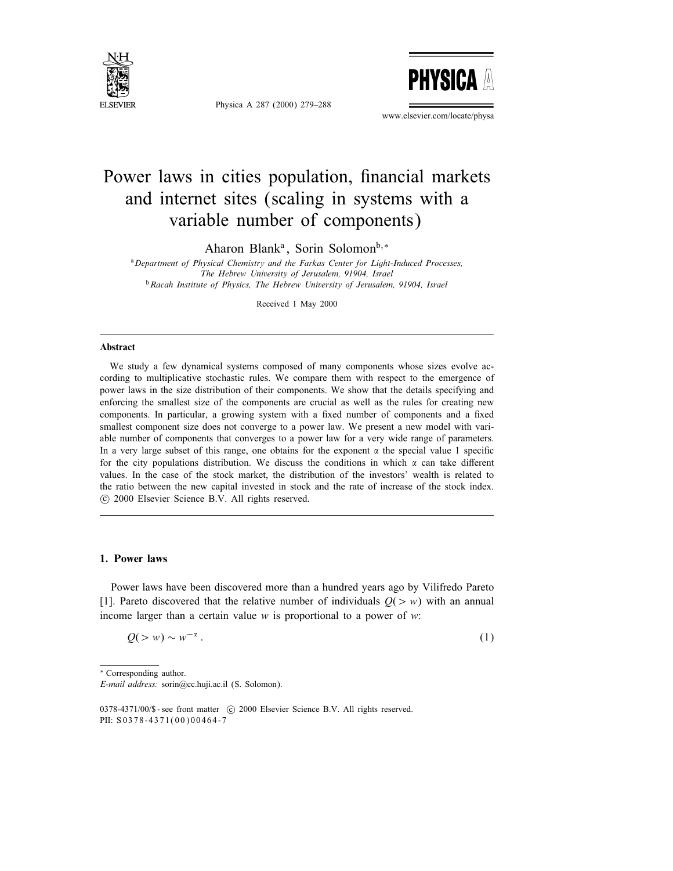

Physica A 287 (2000) 279–288



www.elsevier.com/locate/physa

# Power laws in cities population, financial markets and internet sites (scaling in systems with a variable number of components)

Aharon Blank<sup>a</sup>, Sorin Solomon<sup>b,\*</sup>

<sup>a</sup>Department of Physical Chemistry and the Farkas Center for Light-Induced Processes, The Hebrew University of Jerusalem, 91904, Israel <sup>b</sup>Racah Institute of Physics, The Hebrew University of Jerusalem, 91904, Israel

Received 1 May 2000

#### Abstract

We study a few dynamical systems composed of many components whose sizes evolve according to multiplicative stochastic rules. We compare them with respect to the emergence of power laws in the size distribution of their components. We show that the details specifying and enforcing the smallest size of the components are crucial as well as the rules for creating new components. In particular, a growing system with a fixed number of components and a fixed smallest component size does not converge to a power law. We present a new model with variable number of components that converges to a power law for a very wide range of parameters. In a very large subset of this range, one obtains for the exponent  $\alpha$  the special value 1 specific for the city populations distribution. We discuss the conditions in which  $\alpha$  can take different values. In the case of the stock market, the distribution of the investors' wealth is related to the ratio between the new capital invested in stock and the rate of increase of the stock index. c 2000 Elsevier Science B.V. All rights reserved.

## 1. Power laws

Power laws have been discovered more than a hundred years ago by Vilifredo Pareto [1]. Pareto discovered that the relative number of individuals  $Q(> w)$  with an annual income larger than a certain value  $w$  is proportional to a power of  $w$ :

$$
Q(>w) \sim w^{-\alpha} \,. \tag{1}
$$

∗ Corresponding author.

E-mail address: sorin@cc.huji.ac.il (S. Solomon).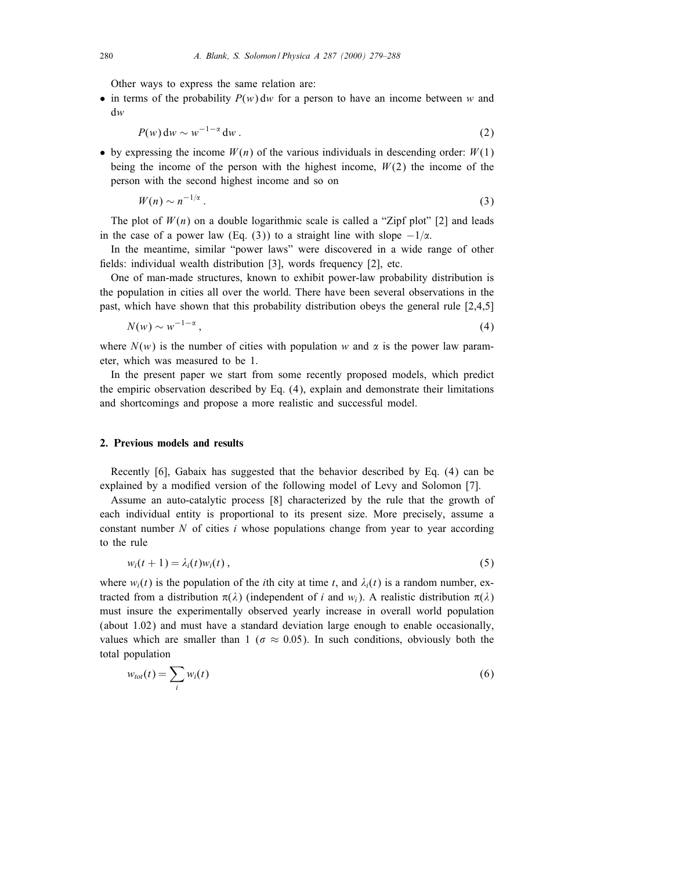Other ways to express the same relation are:

• in terms of the probability  $P(w)$  dw for a person to have an income between w and dw

$$
P(w) dw \sim w^{-1-\alpha} dw \,.
$$

• by expressing the income  $W(n)$  of the various individuals in descending order:  $W(1)$ being the income of the person with the highest income,  $W(2)$  the income of the person with the second highest income and so on

$$
W(n) \sim n^{-1/\alpha} \,. \tag{3}
$$

The plot of  $W(n)$  on a double logarithmic scale is called a "Zipf plot" [2] and leads in the case of a power law (Eq. (3)) to a straight line with slope  $-1/\alpha$ .

In the meantime, similar "power laws" were discovered in a wide range of other fields: individual wealth distribution  $[3]$ , words frequency  $[2]$ , etc.

One of man-made structures, known to exhibit power-law probability distribution is the population in cities all over the world. There have been several observations in the past, which have shown that this probability distribution obeys the general rule [2,4,5]

$$
N(w) \sim w^{-1-\alpha},\tag{4}
$$

where  $N(w)$  is the number of cities with population w and  $\alpha$  is the power law parameter, which was measured to be 1.

In the present paper we start from some recently proposed models, which predict the empiric observation described by Eq. (4), explain and demonstrate their limitations and shortcomings and propose a more realistic and successful model.

## 2. Previous models and results

Recently [6], Gabaix has suggested that the behavior described by Eq. (4) can be explained by a modied version of the following model of Levy and Solomon [7].

Assume an auto-catalytic process [8] characterized by the rule that the growth of each individual entity is proportional to its present size. More precisely, assume a constant number  $N$  of cities  $i$  whose populations change from year to year according to the rule

$$
w_i(t+1) = \lambda_i(t) w_i(t), \qquad (5)
$$

where  $w_i(t)$  is the population of the *i*th city at time t, and  $\lambda_i(t)$  is a random number, extracted from a distribution  $\pi(\lambda)$  (independent of i and  $w_i$ ). A realistic distribution  $\pi(\lambda)$ must insure the experimentally observed yearly increase in overall world population (about 1.02) and must have a standard deviation large enough to enable occasionally, values which are smaller than 1 ( $\sigma \approx 0.05$ ). In such conditions, obviously both the total population

$$
w_{tot}(t) = \sum_{i} w_i(t) \tag{6}
$$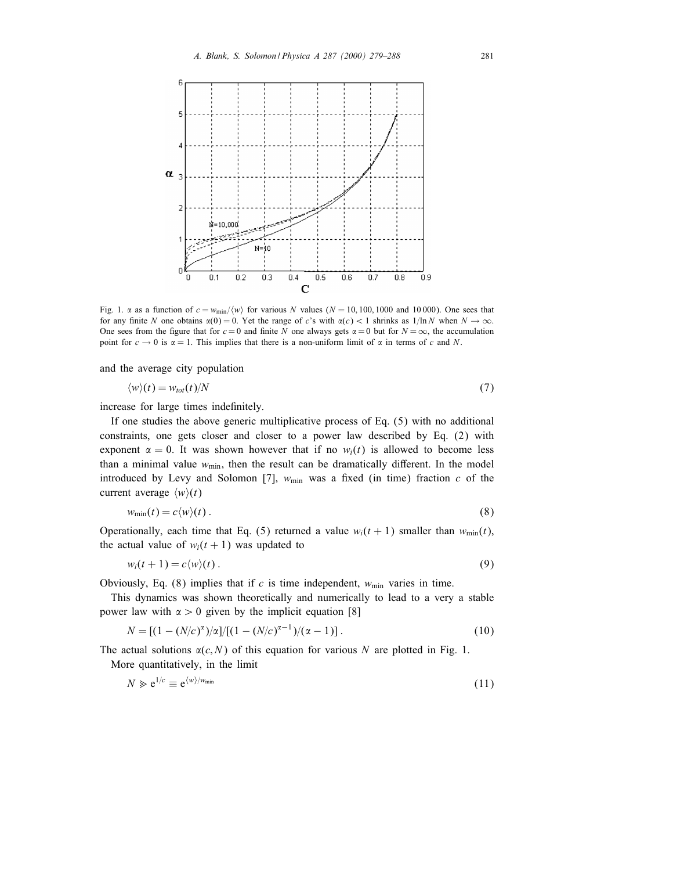

Fig. 1.  $\alpha$  as a function of  $c = w_{\text{min}}/ \langle w \rangle$  for various N values (N = 10, 100, 1000 and 10 000). One sees that for any finite N one obtains  $\alpha(0) = 0$ . Yet the range of c's with  $\alpha(c) < 1$  shrinks as  $1/\ln N$  when  $N \to \infty$ . One sees from the figure that for  $c = 0$  and finite N one always gets  $\alpha = 0$  but for  $N = \infty$ , the accumulation point for  $c \to 0$  is  $\alpha = 1$ . This implies that there is a non-uniform limit of  $\alpha$  in terms of c and N.

and the average city population

$$
\langle w \rangle(t) = w_{tot}(t) / N \tag{7}
$$

increase for large times indefinitely.

If one studies the above generic multiplicative process of Eq. (5) with no additional constraints, one gets closer and closer to a power law described by Eq. (2) with exponent  $\alpha = 0$ . It was shown however that if no  $w_i(t)$  is allowed to become less than a minimal value  $w_{min}$ , then the result can be dramatically different. In the model introduced by Levy and Solomon [7],  $w_{\text{min}}$  was a fixed (in time) fraction c of the current average  $\langle w \rangle(t)$ 

$$
w_{\min}(t) = c \langle w \rangle(t). \tag{8}
$$

Operationally, each time that Eq. (5) returned a value  $w_i(t + 1)$  smaller than  $w_{min}(t)$ , the actual value of  $w_i(t + 1)$  was updated to

$$
w_i(t+1) = c \langle w \rangle(t). \tag{9}
$$

Obviously, Eq. (8) implies that if c is time independent,  $w_{\text{min}}$  varies in time.

This dynamics was shown theoretically and numerically to lead to a very a stable power law with  $\alpha > 0$  given by the implicit equation [8]

$$
N = [(1 - (N/c)^{\alpha})/\alpha]/[(1 - (N/c)^{\alpha - 1})/(\alpha - 1)].
$$
\n(10)

The actual solutions  $\alpha(c, N)$  of this equation for various N are plotted in Fig. 1. More quantitatively, in the limit

$$
N \geqslant e^{1/c} \equiv e^{\langle w \rangle / w_{\min}} \tag{11}
$$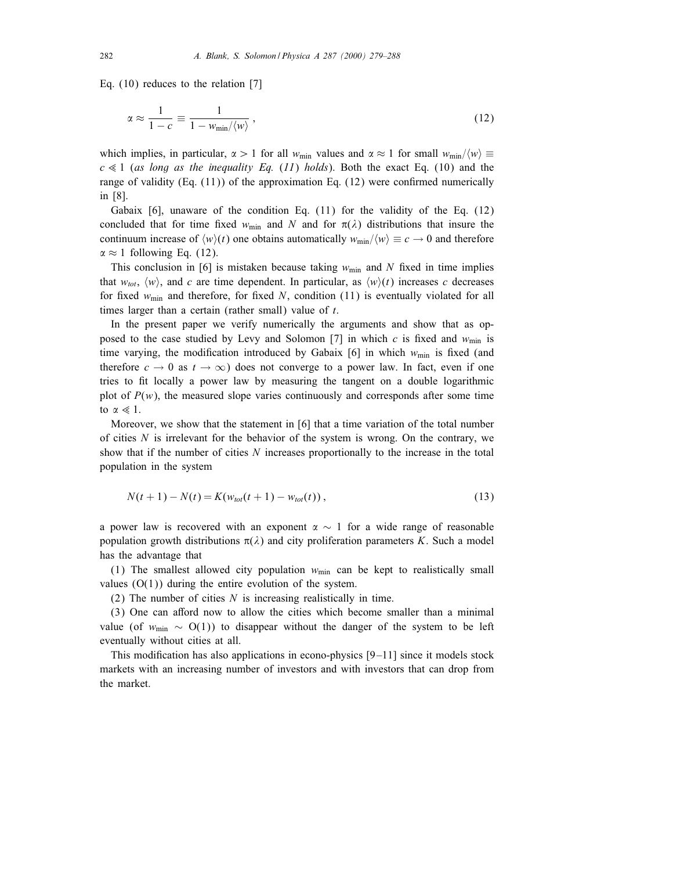Eq. (10) reduces to the relation [7]

$$
\alpha \approx \frac{1}{1-c} \equiv \frac{1}{1 - w_{\min}/\langle w \rangle},\tag{12}
$$

which implies, in particular,  $\alpha > 1$  for all w<sub>min</sub> values and  $\alpha \approx 1$  for small w<sub>min</sub>/ $\langle w \rangle \equiv$  $c \ll 1$  (as long as the inequality Eq. (11) holds). Both the exact Eq. (10) and the range of validity  $(Eq. (11))$  of the approximation Eq.  $(12)$  were confirmed numerically in [8].

Gabaix [6], unaware of the condition Eq. (11) for the validity of the Eq. (12) concluded that for time fixed  $w_{\min}$  and N and for  $\pi(\lambda)$  distributions that insure the continuum increase of  $\langle w \rangle(t)$  one obtains automatically  $w_{\text{min}}/\langle w \rangle \equiv c \rightarrow 0$  and therefore  $\alpha \approx 1$  following Eq. (12).

This conclusion in [6] is mistaken because taking  $w_{\text{min}}$  and N fixed in time implies that  $w_{tot}$ ,  $\langle w \rangle$ , and c are time dependent. In particular, as  $\langle w \rangle(t)$  increases c decreases for fixed  $w_{\text{min}}$  and therefore, for fixed N, condition (11) is eventually violated for all times larger than a certain (rather small) value of t.

In the present paper we verify numerically the arguments and show that as opposed to the case studied by Levy and Solomon [7] in which c is fixed and  $w_{\text{min}}$  is time varying, the modification introduced by Gabaix [6] in which  $w_{\text{min}}$  is fixed (and therefore  $c \to 0$  as  $t \to \infty$ ) does not converge to a power law. In fact, even if one tries to fit locally a power law by measuring the tangent on a double logarithmic plot of  $P(w)$ , the measured slope varies continuously and corresponds after some time to  $\alpha \ll 1$ .

Moreover, we show that the statement in [6] that a time variation of the total number of cities  $N$  is irrelevant for the behavior of the system is wrong. On the contrary, we show that if the number of cities  $N$  increases proportionally to the increase in the total population in the system

$$
N(t+1) - N(t) = K(w_{tot}(t+1) - w_{tot}(t)),
$$
\n(13)

a power law is recovered with an exponent  $\alpha \sim 1$  for a wide range of reasonable population growth distributions  $\pi(\lambda)$  and city proliferation parameters K. Such a model has the advantage that

(1) The smallest allowed city population  $w_{\text{min}}$  can be kept to realistically small values  $(O(1))$  during the entire evolution of the system.

(2) The number of cities  $N$  is increasing realistically in time.

 $(3)$  One can afford now to allow the cities which become smaller than a minimal value (of  $w_{\text{min}} \sim O(1)$ ) to disappear without the danger of the system to be left eventually without cities at all.

This modification has also applications in econo-physics  $[9-11]$  since it models stock markets with an increasing number of investors and with investors that can drop from the market.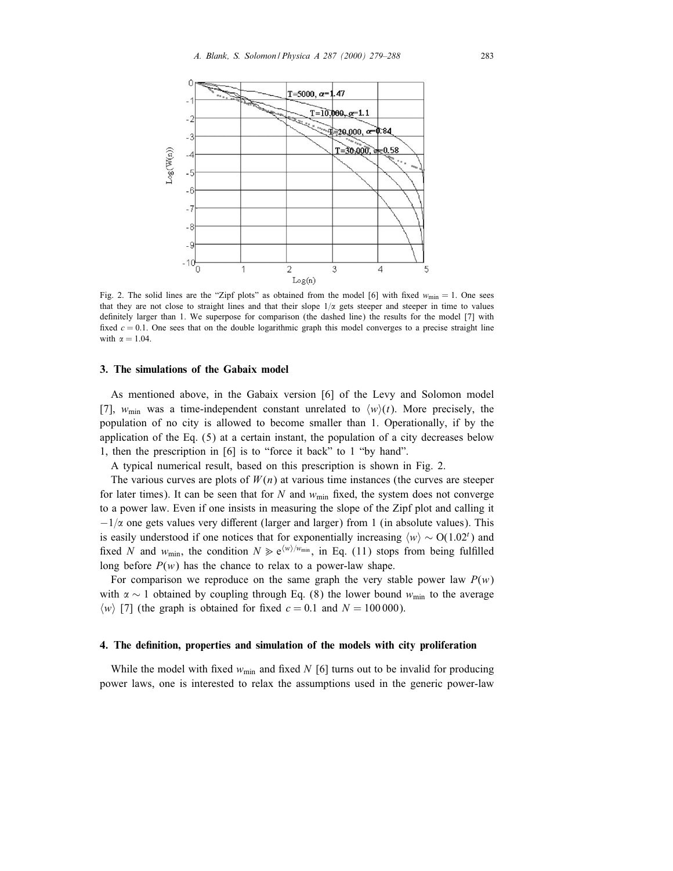

Fig. 2. The solid lines are the "Zipf plots" as obtained from the model [6] with fixed  $w_{\text{min}} = 1$ . One sees that they are not close to straight lines and that their slope  $1/\alpha$  gets steeper and steeper in time to values definitely larger than 1. We superpose for comparison (the dashed line) the results for the model [7] with fixed  $c = 0.1$ . One sees that on the double logarithmic graph this model converges to a precise straight line with  $\alpha = 1.04$ .

#### 3. The simulations of the Gabaix model

As mentioned above, in the Gabaix version [6] of the Levy and Solomon model [7],  $w_{\text{min}}$  was a time-independent constant unrelated to  $\langle w \rangle(t)$ . More precisely, the population of no city is allowed to become smaller than 1. Operationally, if by the application of the Eq. (5) at a certain instant, the population of a city decreases below 1, then the prescription in [6] is to "force it back" to 1 "by hand".

A typical numerical result, based on this prescription is shown in Fig. 2.

The various curves are plots of  $W(n)$  at various time instances (the curves are steeper for later times). It can be seen that for N and  $w_{\text{min}}$  fixed, the system does not converge to a power law. Even if one insists in measuring the slope of the Zipf plot and calling it  $-1/\alpha$  one gets values very different (larger and larger) from 1 (in absolute values). This is easily understood if one notices that for exponentially increasing  $\langle w \rangle \sim O(1.02^t)$  and fixed N and  $w_{\min}$ , the condition  $N \geq e^{\langle w \rangle / w_{\min}}$ , in Eq. (11) stops from being fulfilled long before  $P(w)$  has the chance to relax to a power-law shape.

For comparison we reproduce on the same graph the very stable power law  $P(w)$ with  $\alpha \sim 1$  obtained by coupling through Eq. (8) the lower bound w<sub>min</sub> to the average  $\langle w \rangle$  [7] (the graph is obtained for fixed  $c = 0.1$  and  $N = 100000$ ).

## 4. The denition, properties and simulation of the models with city proliferation

While the model with fixed  $w_{\text{min}}$  and fixed N [6] turns out to be invalid for producing power laws, one is interested to relax the assumptions used in the generic power-law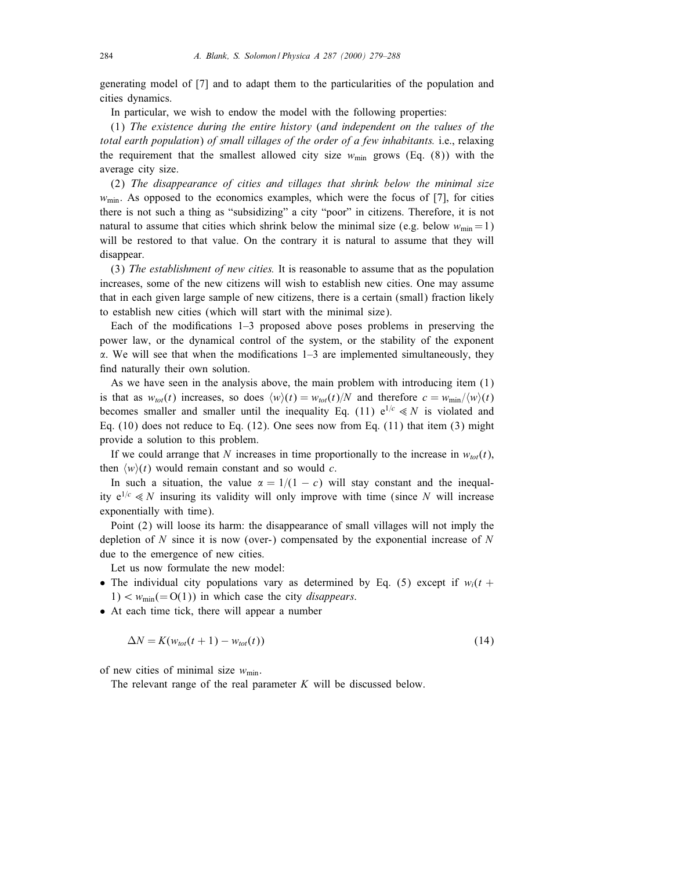generating model of [7] and to adapt them to the particularities of the population and cities dynamics.

In particular, we wish to endow the model with the following properties:

(1) The existence during the entire history (and independent on the values of the total earth population) of small villages of the order of a few inhabitants. i.e., relaxing the requirement that the smallest allowed city size  $w_{\text{min}}$  grows (Eq. (8)) with the average city size.

(2) The disappearance of cities and villages that shrink below the minimal size  $w_{\text{min}}$ . As opposed to the economics examples, which were the focus of [7], for cities there is not such a thing as "subsidizing" a city "poor" in citizens. Therefore, it is not natural to assume that cities which shrink below the minimal size (e.g. below  $w_{min} = 1$ ) will be restored to that value. On the contrary it is natural to assume that they will disappear.

(3) The establishment of new cities. It is reasonable to assume that as the population increases, some of the new citizens will wish to establish new cities. One may assume that in each given large sample of new citizens, there is a certain (small) fraction likely to establish new cities (which will start with the minimal size).

Each of the modifications  $1-3$  proposed above poses problems in preserving the power law, or the dynamical control of the system, or the stability of the exponent  $\alpha$ . We will see that when the modifications  $1-3$  are implemented simultaneously, they find naturally their own solution.

As we have seen in the analysis above, the main problem with introducing item (1) is that as  $w_{tot}(t)$  increases, so does  $\langle w \rangle(t) = w_{tot}(t)/N$  and therefore  $c = w_{min}/\langle w \rangle(t)$ becomes smaller and smaller until the inequality Eq. (11)  $e^{1/c} \ll N$  is violated and Eq.  $(10)$  does not reduce to Eq.  $(12)$ . One sees now from Eq.  $(11)$  that item  $(3)$  might provide a solution to this problem.

If we could arrange that N increases in time proportionally to the increase in  $w_{tot}(t)$ , then  $\langle w \rangle(t)$  would remain constant and so would c.

In such a situation, the value  $\alpha = 1/(1 - c)$  will stay constant and the inequality  $e^{1/c} \ll N$  insuring its validity will only improve with time (since N will increase exponentially with time).

Point (2) will loose its harm: the disappearance of small villages will not imply the depletion of  $N$  since it is now (over-) compensated by the exponential increase of  $N$ due to the emergence of new cities.

Let us now formulate the new model:

- The individual city populations vary as determined by Eq. (5) except if  $w_i(t +$  $1) < w_{\text{min}} (= O(1))$  in which case the city *disappears*.
- At each time tick, there will appear a number

$$
\Delta N = K(w_{tot}(t+1) - w_{tot}(t))
$$
\n(14)

of new cities of minimal size  $w_{\text{min}}$ .

The relevant range of the real parameter  $K$  will be discussed below.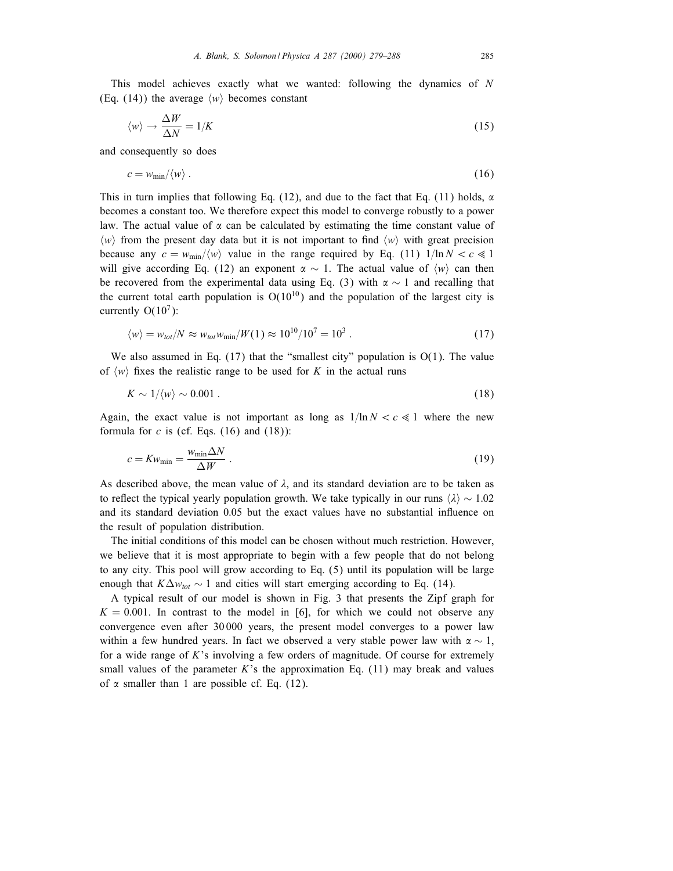This model achieves exactly what we wanted: following the dynamics of N (Eq. (14)) the average  $\langle w \rangle$  becomes constant

$$
\langle w \rangle \to \frac{\Delta W}{\Delta N} = 1/K \tag{15}
$$

and consequently so does

$$
c = w_{\min}/\langle w \rangle \,. \tag{16}
$$

This in turn implies that following Eq. (12), and due to the fact that Eq. (11) holds,  $\alpha$ becomes a constant too. We therefore expect this model to converge robustly to a power law. The actual value of  $\alpha$  can be calculated by estimating the time constant value of  $\langle w \rangle$  from the present day data but it is not important to find  $\langle w \rangle$  with great precision because any  $c = w_{\text{min}}/\langle w \rangle$  value in the range required by Eq. (11)  $1/\ln N < c \ll 1$ will give according Eq. (12) an exponent  $\alpha \sim 1$ . The actual value of  $\langle w \rangle$  can then be recovered from the experimental data using Eq. (3) with  $\alpha \sim 1$  and recalling that the current total earth population is  $O(10^{10})$  and the population of the largest city is currently  $O(10^7)$ :

$$
\langle w \rangle = w_{tot} / N \approx w_{tot} w_{min} / W(1) \approx 10^{10} / 10^7 = 10^3 . \tag{17}
$$

We also assumed in Eq.  $(17)$  that the "smallest city" population is  $O(1)$ . The value of  $\langle w \rangle$  fixes the realistic range to be used for K in the actual runs

$$
K \sim 1/\langle w \rangle \sim 0.001 \ . \tag{18}
$$

Again, the exact value is not important as long as  $1/\ln N < c \ll 1$  where the new formula for  $c$  is (cf. Eqs. (16) and (18)):

$$
c = Kw_{\min} = \frac{w_{\min} \Delta N}{\Delta W} \tag{19}
$$

As described above, the mean value of  $\lambda$ , and its standard deviation are to be taken as to reflect the typical yearly population growth. We take typically in our runs  $\langle \lambda \rangle \sim 1.02$ and its standard deviation 0.05 but the exact values have no substantial influence on the result of population distribution.

The initial conditions of this model can be chosen without much restriction. However, we believe that it is most appropriate to begin with a few people that do not belong to any city. This pool will grow according to Eq. (5) until its population will be large enough that  $K\Delta w_{tot} \sim 1$  and cities will start emerging according to Eq. (14).

A typical result of our model is shown in Fig. 3 that presents the Zipf graph for  $K = 0.001$ . In contrast to the model in [6], for which we could not observe any convergence even after 30 000 years, the present model converges to a power law within a few hundred years. In fact we observed a very stable power law with  $\alpha \sim 1$ , for a wide range of K's involving a few orders of magnitude. Of course for extremely small values of the parameter  $K$ 's the approximation Eq. (11) may break and values of  $\alpha$  smaller than 1 are possible cf. Eq. (12).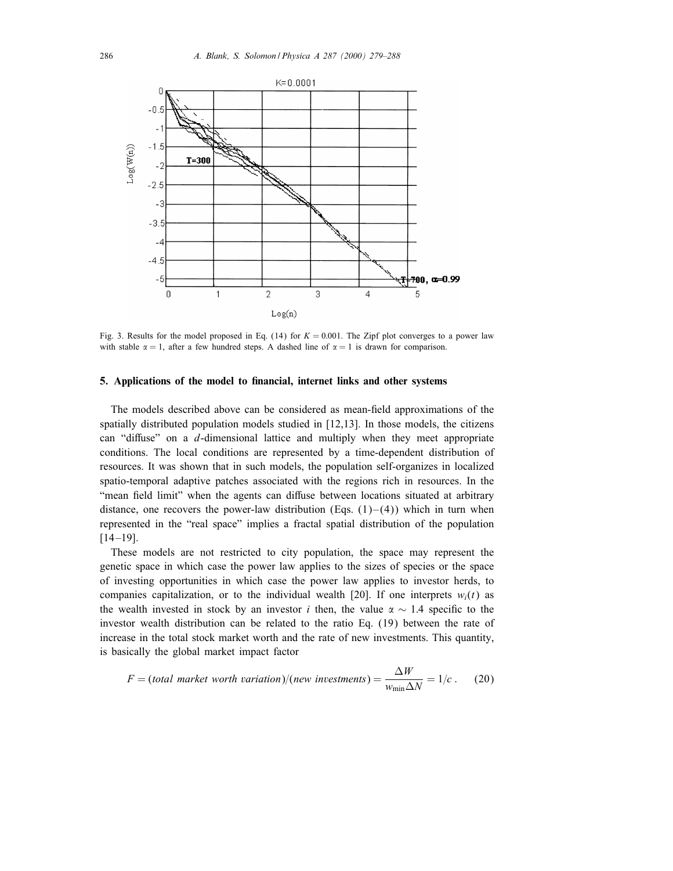

Fig. 3. Results for the model proposed in Eq. (14) for  $K = 0.001$ . The Zipf plot converges to a power law with stable  $\alpha = 1$ , after a few hundred steps. A dashed line of  $\alpha = 1$  is drawn for comparison.

## 5. Applications of the model to financial, internet links and other systems

The models described above can be considered as mean-field approximations of the spatially distributed population models studied in [12,13]. In those models, the citizens can "diffuse" on a  $d$ -dimensional lattice and multiply when they meet appropriate conditions. The local conditions are represented by a time-dependent distribution of resources. It was shown that in such models, the population self-organizes in localized spatio-temporal adaptive patches associated with the regions rich in resources. In the "mean field limit" when the agents can diffuse between locations situated at arbitrary distance, one recovers the power-law distribution (Eqs.  $(1)-(4)$ ) which in turn when represented in the "real space" implies a fractal spatial distribution of the population  $[14 - 19]$ .

These models are not restricted to city population, the space may represent the genetic space in which case the power law applies to the sizes of species or the space of investing opportunities in which case the power law applies to investor herds, to companies capitalization, or to the individual wealth [20]. If one interprets  $w_i(t)$  as the wealth invested in stock by an investor i then, the value  $\alpha \sim 1.4$  specific to the investor wealth distribution can be related to the ratio Eq. (19) between the rate of increase in the total stock market worth and the rate of new investments. This quantity, is basically the global market impact factor

$$
F = (total\ market\ worth\ variation)/(new\ investments) = \frac{\Delta W}{w_{\min} \Delta N} = 1/c
$$
. (20)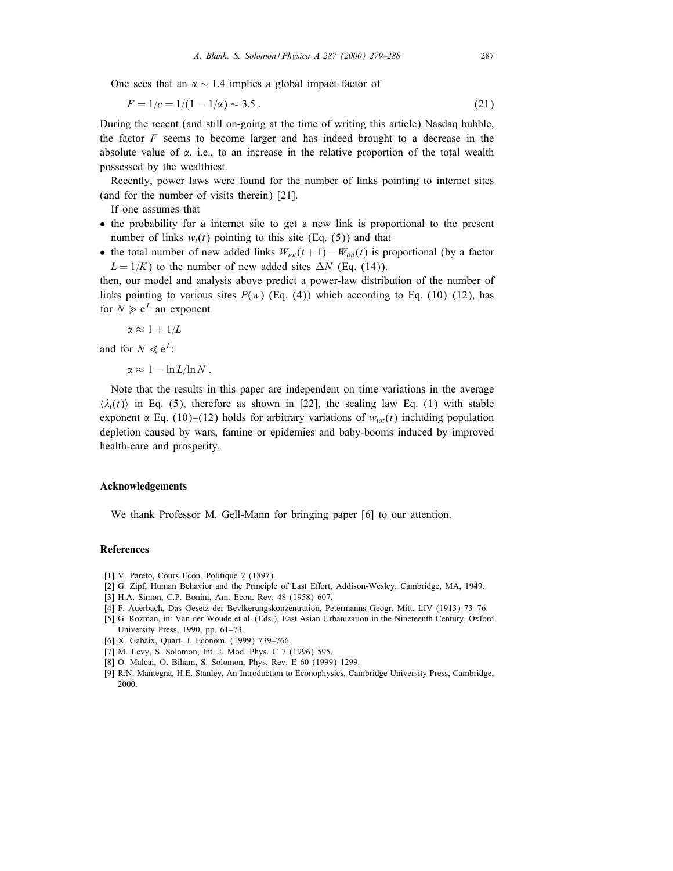One sees that an  $\alpha \sim 1.4$  implies a global impact factor of

$$
F = 1/c = 1/(1 - 1/\alpha) \sim 3.5
$$
 (21)

During the recent (and still on-going at the time of writing this article) Nasdaq bubble, the factor  $F$  seems to become larger and has indeed brought to a decrease in the absolute value of  $\alpha$ , i.e., to an increase in the relative proportion of the total wealth possessed by the wealthiest.

Recently, power laws were found for the number of links pointing to internet sites (and for the number of visits therein) [21].

If one assumes that

- the probability for a internet site to get a new link is proportional to the present number of links  $w_i(t)$  pointing to this site (Eq. (5)) and that
- the total number of new added links  $W_{tot}(t+1)-W_{tot}(t)$  is proportional (by a factor  $L = 1/K$ ) to the number of new added sites  $\Delta N$  (Eq. (14)).

then, our model and analysis above predict a power-law distribution of the number of links pointing to various sites  $P(w)$  (Eq. (4)) which according to Eq. (10)–(12), has for  $N \ge e^L$  an exponent

$$
\alpha \approx 1 + 1/L
$$

and for  $N \ll e^L$ :

 $\alpha \approx 1 - \ln L/\ln N$ .

Note that the results in this paper are independent on time variations in the average  $\langle \lambda_i(t) \rangle$  in Eq. (5), therefore as shown in [22], the scaling law Eq. (1) with stable exponent  $\alpha$  Eq. (10)–(12) holds for arbitrary variations of  $w_{tot}(t)$  including population depletion caused by wars, famine or epidemies and baby-booms induced by improved health-care and prosperity.

#### Acknowledgements

We thank Professor M. Gell-Mann for bringing paper [6] to our attention.

# **References**

- [1] V. Pareto, Cours Econ. Politique 2 (1897).
- [2] G. Zipf, Human Behavior and the Principle of Last Effort, Addison-Wesley, Cambridge, MA, 1949.
- [3] H.A. Simon, C.P. Bonini, Am. Econ. Rev. 48 (1958) 607.
- [4] F. Auerbach, Das Gesetz der Bevlkerungskonzentration, Petermanns Geogr. Mitt. LIV (1913) 73–76.
- [5] G. Rozman, in: Van der Woude et al. (Eds.), East Asian Urbanization in the Nineteenth Century, Oxford University Press, 1990, pp. 61–73.
- [6] X. Gabaix, Quart. J. Econom. (1999) 739–766.
- [7] M. Levy, S. Solomon, Int. J. Mod. Phys. C 7 (1996) 595.
- [8] O. Malcai, O. Biham, S. Solomon, Phys. Rev. E 60 (1999) 1299.
- [9] R.N. Mantegna, H.E. Stanley, An Introduction to Econophysics, Cambridge University Press, Cambridge, 2000.